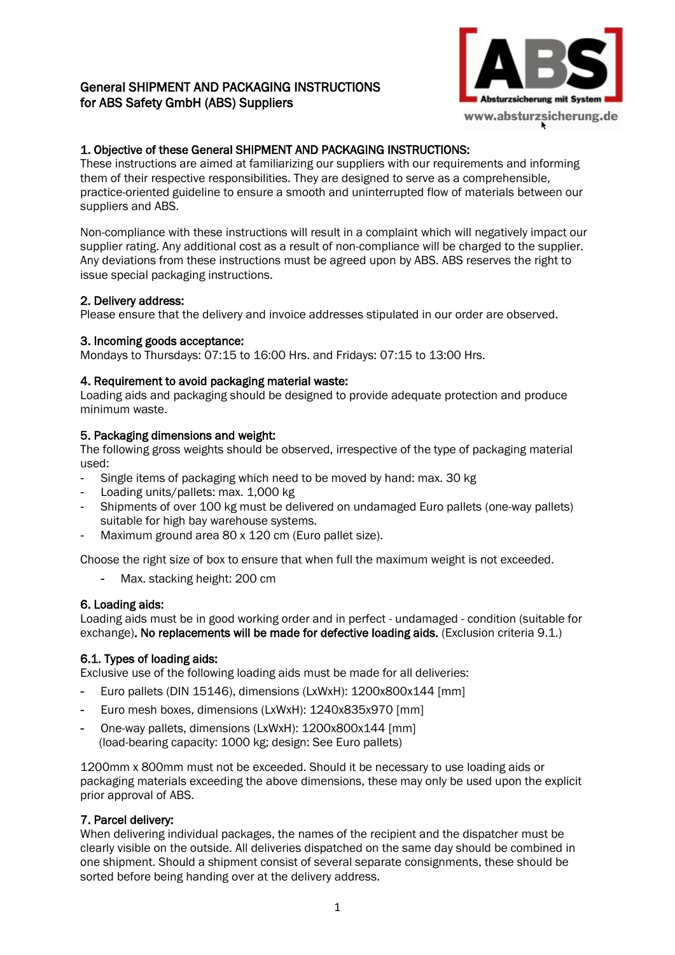# General SHIPMENT AND PACKAGING INSTRUCTIONS for ABS Safety GmbH (ABS) Suppliers



# 1. Objective of these General SHIPMENT AND PACKAGING INSTRUCTIONS:

These instructions are aimed at familiarizing our suppliers with our requirements and informing them of their respective responsibilities. They are designed to serve as a comprehensible, practice-oriented guideline to ensure a smooth and uninterrupted flow of materials between our suppliers and ABS.

Non-compliance with these instructions will result in a complaint which will negatively impact our supplier rating. Any additional cost as a result of non-compliance will be charged to the supplier. Any deviations from these instructions must be agreed upon by ABS. ABS reserves the right to issue special packaging instructions.

# 2. Delivery address:

Please ensure that the delivery and invoice addresses stipulated in our order are observed.

#### 3. Incoming goods acceptance:

Mondays to Thursdays: 07:15 to 16:00 Hrs. and Fridays: 07:15 to 13:00 Hrs.

#### 4. Requirement to avoid packaging material waste:

Loading aids and packaging should be designed to provide adequate protection and produce minimum waste.

#### 5. Packaging dimensions and weight:

The following gross weights should be observed, irrespective of the type of packaging material used:

- Single items of packaging which need to be moved by hand: max. 30 kg
- Loading units/pallets: max. 1,000 kg
- Shipments of over 100 kg must be delivered on undamaged Euro pallets (one-way pallets) suitable for high bay warehouse systems.
- Maximum ground area 80 x 120 cm (Euro pallet size).

Choose the right size of box to ensure that when full the maximum weight is not exceeded.

- Max. stacking height: 200 cm

# 6. Loading aids:

Loading aids must be in good working order and in perfect - undamaged - condition (suitable for exchange). No replacements will be made for defective loading aids. (Exclusion criteria 9.1.)

# 6.1. Types of loading aids:

Exclusive use of the following loading aids must be made for all deliveries:

- Euro pallets (DIN 15146), dimensions (LxWxH): 1200x800x144 [mm]
- Euro mesh boxes, dimensions (LxWxH): 1240x835x970 [mm]
- One-way pallets, dimensions (LxWxH): 1200x800x144 [mm] (load-bearing capacity: 1000 kg; design: See Euro pallets)

1200mm x 800mm must not be exceeded. Should it be necessary to use loading aids or packaging materials exceeding the above dimensions, these may only be used upon the explicit prior approval of ABS.

# 7. Parcel delivery:

When delivering individual packages, the names of the recipient and the dispatcher must be clearly visible on the outside. All deliveries dispatched on the same day should be combined in one shipment. Should a shipment consist of several separate consignments, these should be sorted before being handing over at the delivery address.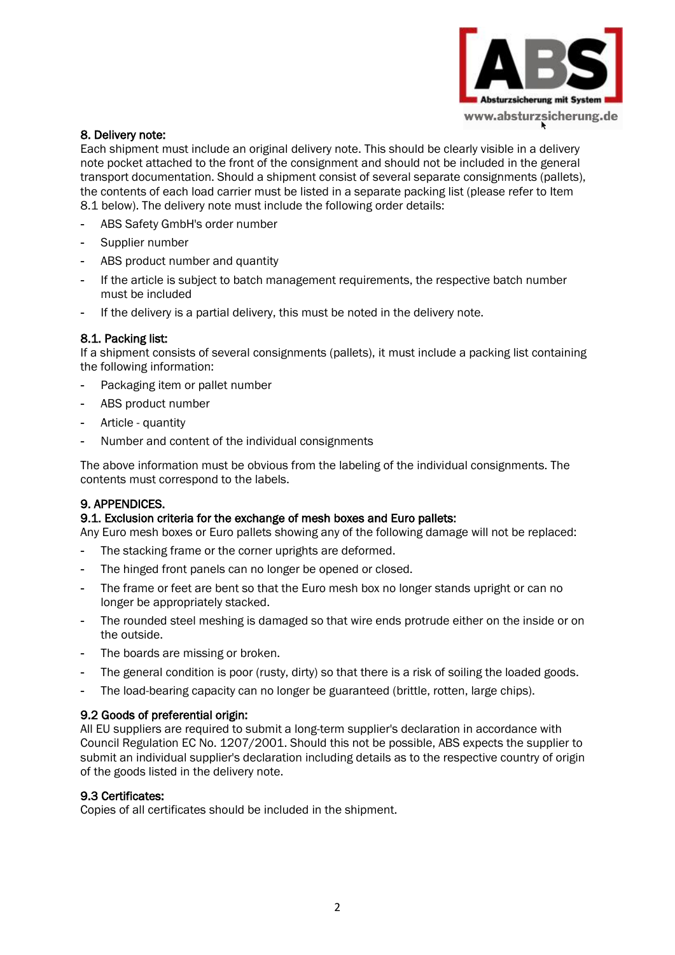

#### 8. Delivery note:

Each shipment must include an original delivery note. This should be clearly visible in a delivery note pocket attached to the front of the consignment and should not be included in the general transport documentation. Should a shipment consist of several separate consignments (pallets), the contents of each load carrier must be listed in a separate packing list (please refer to Item 8.1 below). The delivery note must include the following order details:

- ABS Safety GmbH's order number
- Supplier number
- ABS product number and quantity
- If the article is subject to batch management requirements, the respective batch number must be included
- If the delivery is a partial delivery, this must be noted in the delivery note.

#### 8.1. Packing list:

If a shipment consists of several consignments (pallets), it must include a packing list containing the following information:

- Packaging item or pallet number
- ABS product number
- Article quantity
- Number and content of the individual consignments

The above information must be obvious from the labeling of the individual consignments. The contents must correspond to the labels.

# 9. APPENDICES.

# 9.1. Exclusion criteria for the exchange of mesh boxes and Euro pallets:

Any Euro mesh boxes or Euro pallets showing any of the following damage will not be replaced:

- The stacking frame or the corner uprights are deformed.
- The hinged front panels can no longer be opened or closed.
- The frame or feet are bent so that the Euro mesh box no longer stands upright or can no longer be appropriately stacked.
- The rounded steel meshing is damaged so that wire ends protrude either on the inside or on the outside.
- The boards are missing or broken.
- The general condition is poor (rusty, dirty) so that there is a risk of soiling the loaded goods.
- The load-bearing capacity can no longer be guaranteed (brittle, rotten, large chips).

# 9.2 Goods of preferential origin:

All EU suppliers are required to submit a long-term supplier's declaration in accordance with Council Regulation EC No. 1207/2001. Should this not be possible, ABS expects the supplier to submit an individual supplier's declaration including details as to the respective country of origin of the goods listed in the delivery note.

#### 9.3 Certificates:

Copies of all certificates should be included in the shipment.